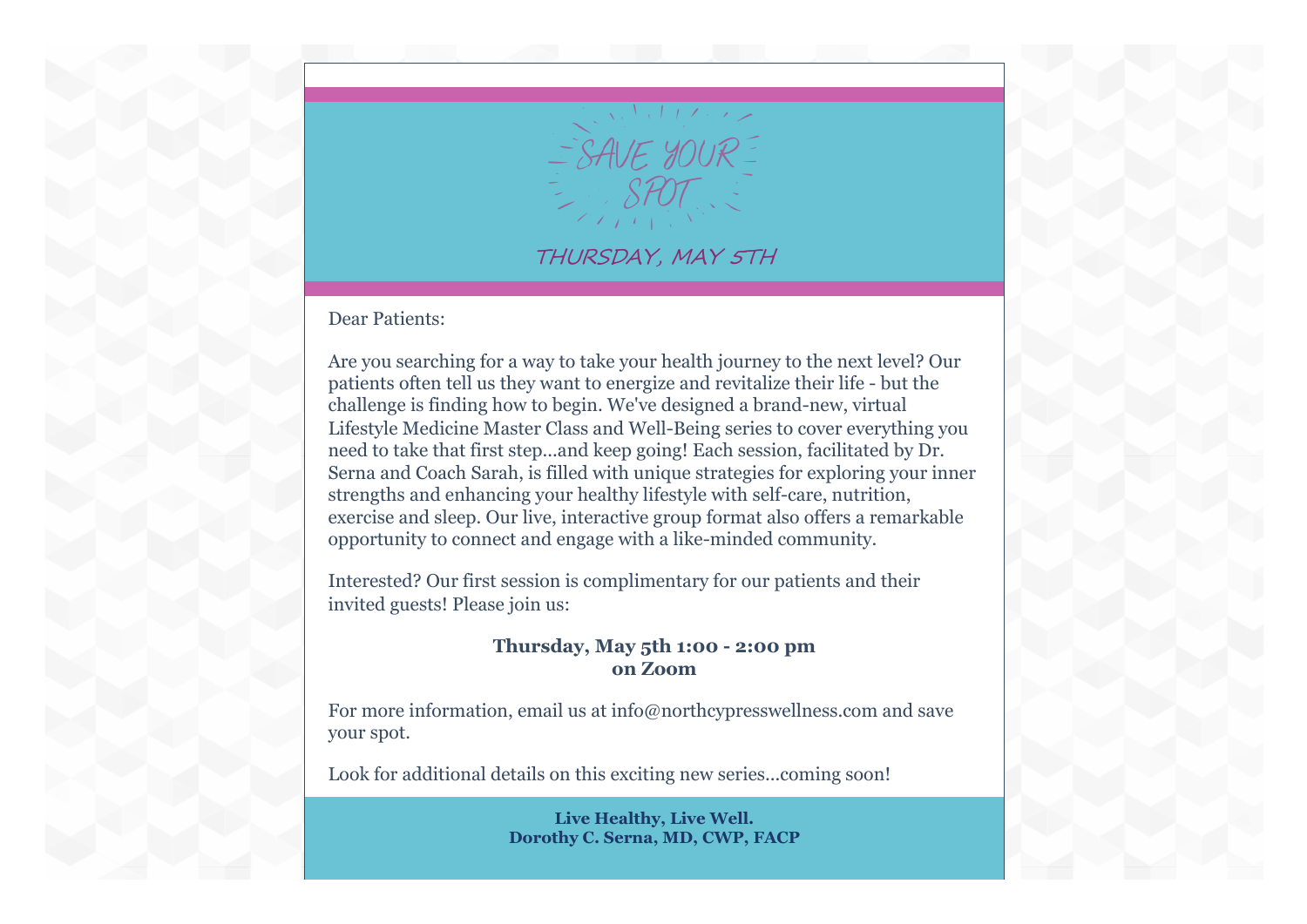

## THURSDAY, MAY 5TH

Dear Patients:

Are you searching for a way to take your health journey to the next level? Our patients often tell us they want to energize and revitalize their life - but the challenge is finding how to begin. We've designed a brand-new, virtual Lifestyle Medicine Master Class and Well-Being series to cover everything you need to take that first step...and keep going! Each session, facilitated by Dr. Serna and Coach Sarah, is filled with unique strategies for exploring your inner strengths and enhancing your healthy lifestyle with self-care, nutrition, exercise and sleep. Our live, interactive group format also offers a remarkable opportunity to connect and engage with a like-minded community.

Interested? Our first session is complimentary for our patients and their invited guests! Please join us:

## **Thursday, May 5th 1:00 - 2:00 pm on Zoom**

For more information, email us at info@northcypresswellness.com and save your spot.

Look for additional details on this exciting new series...coming soon!

**Live Healthy, Live Well. Dorothy C. Serna, MD, CWP, FACP**